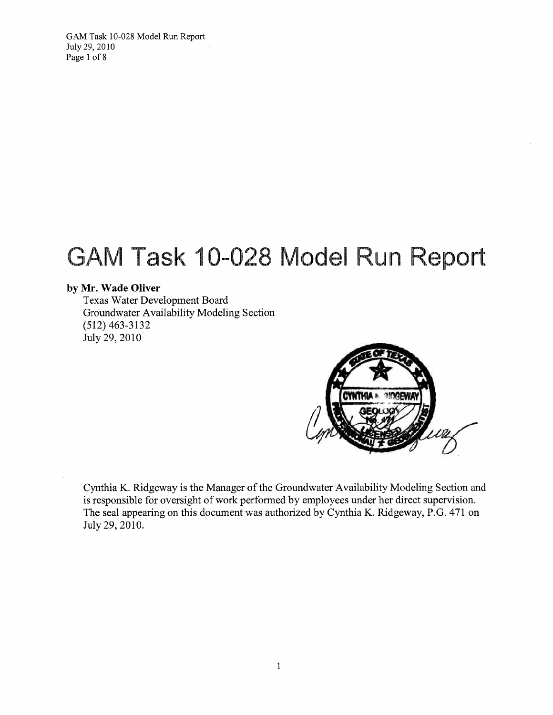GAM Task 10-028 Model Run Report July 29, 2010 Page 1 of 8

# GAM Task 10-028 Model Run Report

## by Mr. Wade Oliver

**Texas Water Development Board** Groundwater Availability Modeling Section  $(512)$  463-3132 July 29, 2010



Cynthia K. Ridgeway is the Manager of the Groundwater Availability Modeling Section and is responsible for oversight of work performed by employees under her direct supervision. The seal appearing on this document was authorized by Cynthia K. Ridgeway, P.G. 471 on July 29, 2010.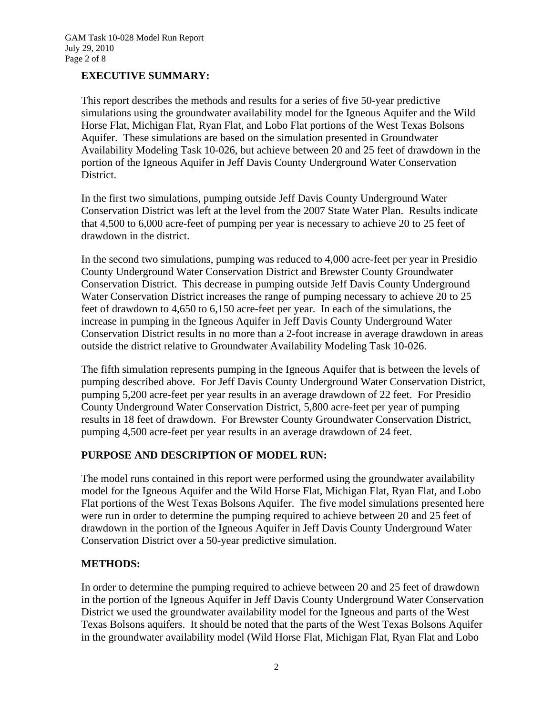## **EXECUTIVE SUMMARY:**

This report describes the methods and results for a series of five 50-year predictive simulations using the groundwater availability model for the Igneous Aquifer and the Wild Horse Flat, Michigan Flat, Ryan Flat, and Lobo Flat portions of the West Texas Bolsons Aquifer. These simulations are based on the simulation presented in Groundwater Availability Modeling Task 10-026, but achieve between 20 and 25 feet of drawdown in the portion of the Igneous Aquifer in Jeff Davis County Underground Water Conservation District.

In the first two simulations, pumping outside Jeff Davis County Underground Water Conservation District was left at the level from the 2007 State Water Plan. Results indicate that 4,500 to 6,000 acre-feet of pumping per year is necessary to achieve 20 to 25 feet of drawdown in the district.

In the second two simulations, pumping was reduced to 4,000 acre-feet per year in Presidio County Underground Water Conservation District and Brewster County Groundwater Conservation District. This decrease in pumping outside Jeff Davis County Underground Water Conservation District increases the range of pumping necessary to achieve 20 to 25 feet of drawdown to 4,650 to 6,150 acre-feet per year. In each of the simulations, the increase in pumping in the Igneous Aquifer in Jeff Davis County Underground Water Conservation District results in no more than a 2-foot increase in average drawdown in areas outside the district relative to Groundwater Availability Modeling Task 10-026.

The fifth simulation represents pumping in the Igneous Aquifer that is between the levels of pumping described above. For Jeff Davis County Underground Water Conservation District, pumping 5,200 acre-feet per year results in an average drawdown of 22 feet. For Presidio County Underground Water Conservation District, 5,800 acre-feet per year of pumping results in 18 feet of drawdown. For Brewster County Groundwater Conservation District, pumping 4,500 acre-feet per year results in an average drawdown of 24 feet.

## **PURPOSE AND DESCRIPTION OF MODEL RUN:**

The model runs contained in this report were performed using the groundwater availability model for the Igneous Aquifer and the Wild Horse Flat, Michigan Flat, Ryan Flat, and Lobo Flat portions of the West Texas Bolsons Aquifer. The five model simulations presented here were run in order to determine the pumping required to achieve between 20 and 25 feet of drawdown in the portion of the Igneous Aquifer in Jeff Davis County Underground Water Conservation District over a 50-year predictive simulation.

## **METHODS:**

In order to determine the pumping required to achieve between 20 and 25 feet of drawdown in the portion of the Igneous Aquifer in Jeff Davis County Underground Water Conservation District we used the groundwater availability model for the Igneous and parts of the West Texas Bolsons aquifers. It should be noted that the parts of the West Texas Bolsons Aquifer in the groundwater availability model (Wild Horse Flat, Michigan Flat, Ryan Flat and Lobo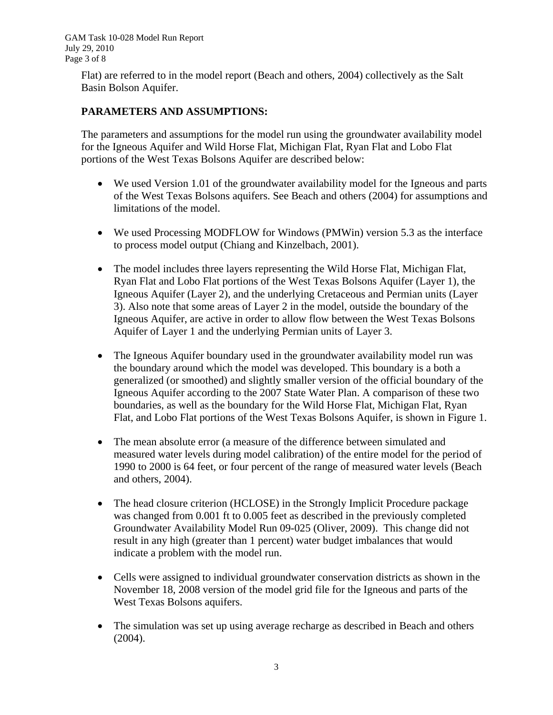Flat) are referred to in the model report (Beach and others, 2004) collectively as the Salt Basin Bolson Aquifer.

# **PARAMETERS AND ASSUMPTIONS:**

The parameters and assumptions for the model run using the groundwater availability model for the Igneous Aquifer and Wild Horse Flat, Michigan Flat, Ryan Flat and Lobo Flat portions of the West Texas Bolsons Aquifer are described below:

- We used Version 1.01 of the groundwater availability model for the Igneous and parts of the West Texas Bolsons aquifers. See Beach and others (2004) for assumptions and limitations of the model.
- We used Processing MODFLOW for Windows (PMWin) version 5.3 as the interface to process model output (Chiang and Kinzelbach, 2001).
- The model includes three layers representing the Wild Horse Flat, Michigan Flat, Ryan Flat and Lobo Flat portions of the West Texas Bolsons Aquifer (Layer 1), the Igneous Aquifer (Layer 2), and the underlying Cretaceous and Permian units (Layer 3). Also note that some areas of Layer 2 in the model, outside the boundary of the Igneous Aquifer, are active in order to allow flow between the West Texas Bolsons Aquifer of Layer 1 and the underlying Permian units of Layer 3.
- The Igneous Aquifer boundary used in the groundwater availability model run was the boundary around which the model was developed. This boundary is a both a generalized (or smoothed) and slightly smaller version of the official boundary of the Igneous Aquifer according to the 2007 State Water Plan. A comparison of these two boundaries, as well as the boundary for the Wild Horse Flat, Michigan Flat, Ryan Flat, and Lobo Flat portions of the West Texas Bolsons Aquifer, is shown in Figure 1.
- The mean absolute error (a measure of the difference between simulated and measured water levels during model calibration) of the entire model for the period of 1990 to 2000 is 64 feet, or four percent of the range of measured water levels (Beach and others, 2004).
- The head closure criterion (HCLOSE) in the Strongly Implicit Procedure package was changed from 0.001 ft to 0.005 feet as described in the previously completed Groundwater Availability Model Run 09-025 (Oliver, 2009). This change did not result in any high (greater than 1 percent) water budget imbalances that would indicate a problem with the model run.
- Cells were assigned to individual groundwater conservation districts as shown in the November 18, 2008 version of the model grid file for the Igneous and parts of the West Texas Bolsons aquifers.
- The simulation was set up using average recharge as described in Beach and others (2004).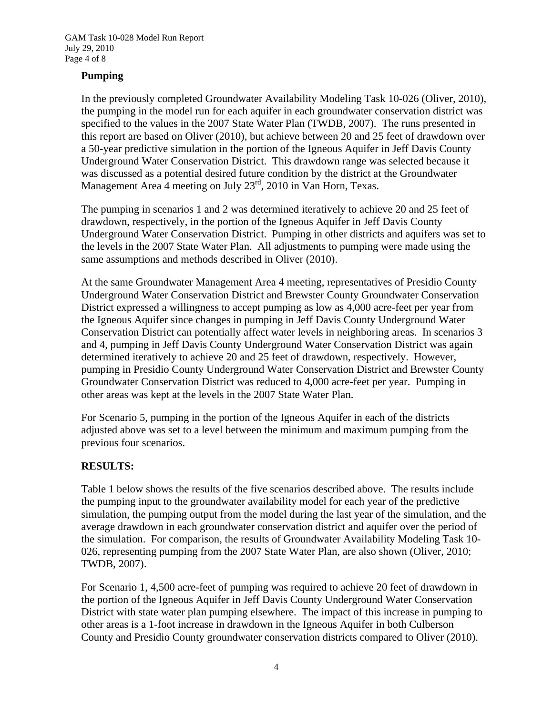#### **Pumping**

In the previously completed Groundwater Availability Modeling Task 10-026 (Oliver, 2010), the pumping in the model run for each aquifer in each groundwater conservation district was specified to the values in the 2007 State Water Plan (TWDB, 2007). The runs presented in this report are based on Oliver (2010), but achieve between 20 and 25 feet of drawdown over a 50-year predictive simulation in the portion of the Igneous Aquifer in Jeff Davis County Underground Water Conservation District. This drawdown range was selected because it was discussed as a potential desired future condition by the district at the Groundwater Management Area 4 meeting on July 23<sup>rd</sup>, 2010 in Van Horn, Texas.

The pumping in scenarios 1 and 2 was determined iteratively to achieve 20 and 25 feet of drawdown, respectively, in the portion of the Igneous Aquifer in Jeff Davis County Underground Water Conservation District. Pumping in other districts and aquifers was set to the levels in the 2007 State Water Plan. All adjustments to pumping were made using the same assumptions and methods described in Oliver (2010).

At the same Groundwater Management Area 4 meeting, representatives of Presidio County Underground Water Conservation District and Brewster County Groundwater Conservation District expressed a willingness to accept pumping as low as 4,000 acre-feet per year from the Igneous Aquifer since changes in pumping in Jeff Davis County Underground Water Conservation District can potentially affect water levels in neighboring areas. In scenarios 3 and 4, pumping in Jeff Davis County Underground Water Conservation District was again determined iteratively to achieve 20 and 25 feet of drawdown, respectively. However, pumping in Presidio County Underground Water Conservation District and Brewster County Groundwater Conservation District was reduced to 4,000 acre-feet per year. Pumping in other areas was kept at the levels in the 2007 State Water Plan.

For Scenario 5, pumping in the portion of the Igneous Aquifer in each of the districts adjusted above was set to a level between the minimum and maximum pumping from the previous four scenarios.

## **RESULTS:**

Table 1 below shows the results of the five scenarios described above. The results include the pumping input to the groundwater availability model for each year of the predictive simulation, the pumping output from the model during the last year of the simulation, and the average drawdown in each groundwater conservation district and aquifer over the period of the simulation. For comparison, the results of Groundwater Availability Modeling Task 10- 026, representing pumping from the 2007 State Water Plan, are also shown (Oliver, 2010; TWDB, 2007).

For Scenario 1, 4,500 acre-feet of pumping was required to achieve 20 feet of drawdown in the portion of the Igneous Aquifer in Jeff Davis County Underground Water Conservation District with state water plan pumping elsewhere. The impact of this increase in pumping to other areas is a 1-foot increase in drawdown in the Igneous Aquifer in both Culberson County and Presidio County groundwater conservation districts compared to Oliver (2010).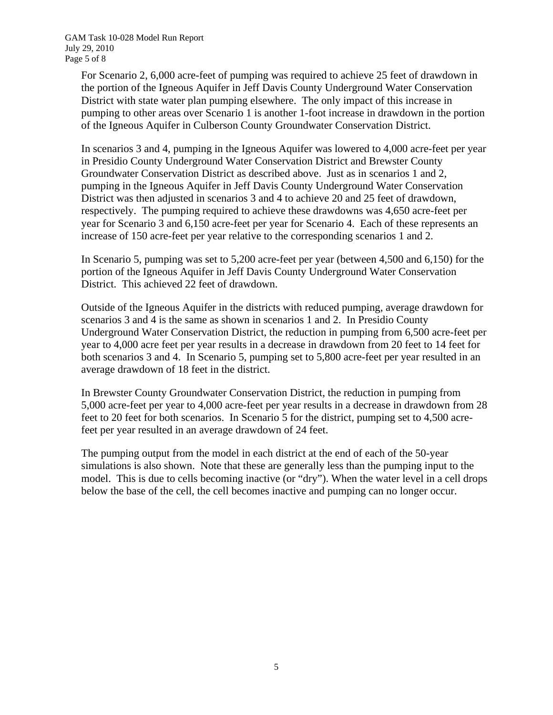For Scenario 2, 6,000 acre-feet of pumping was required to achieve 25 feet of drawdown in the portion of the Igneous Aquifer in Jeff Davis County Underground Water Conservation District with state water plan pumping elsewhere. The only impact of this increase in pumping to other areas over Scenario 1 is another 1-foot increase in drawdown in the portion of the Igneous Aquifer in Culberson County Groundwater Conservation District.

In scenarios 3 and 4, pumping in the Igneous Aquifer was lowered to 4,000 acre-feet per year in Presidio County Underground Water Conservation District and Brewster County Groundwater Conservation District as described above. Just as in scenarios 1 and 2, pumping in the Igneous Aquifer in Jeff Davis County Underground Water Conservation District was then adjusted in scenarios 3 and 4 to achieve 20 and 25 feet of drawdown, respectively. The pumping required to achieve these drawdowns was 4,650 acre-feet per year for Scenario 3 and 6,150 acre-feet per year for Scenario 4. Each of these represents an increase of 150 acre-feet per year relative to the corresponding scenarios 1 and 2.

In Scenario 5, pumping was set to 5,200 acre-feet per year (between 4,500 and 6,150) for the portion of the Igneous Aquifer in Jeff Davis County Underground Water Conservation District. This achieved 22 feet of drawdown.

Outside of the Igneous Aquifer in the districts with reduced pumping, average drawdown for scenarios 3 and 4 is the same as shown in scenarios 1 and 2. In Presidio County Underground Water Conservation District, the reduction in pumping from 6,500 acre-feet per year to 4,000 acre feet per year results in a decrease in drawdown from 20 feet to 14 feet for both scenarios 3 and 4. In Scenario 5, pumping set to 5,800 acre-feet per year resulted in an average drawdown of 18 feet in the district.

In Brewster County Groundwater Conservation District, the reduction in pumping from 5,000 acre-feet per year to 4,000 acre-feet per year results in a decrease in drawdown from 28 feet to 20 feet for both scenarios. In Scenario 5 for the district, pumping set to 4,500 acrefeet per year resulted in an average drawdown of 24 feet.

The pumping output from the model in each district at the end of each of the 50-year simulations is also shown. Note that these are generally less than the pumping input to the model. This is due to cells becoming inactive (or "dry"). When the water level in a cell drops below the base of the cell, the cell becomes inactive and pumping can no longer occur.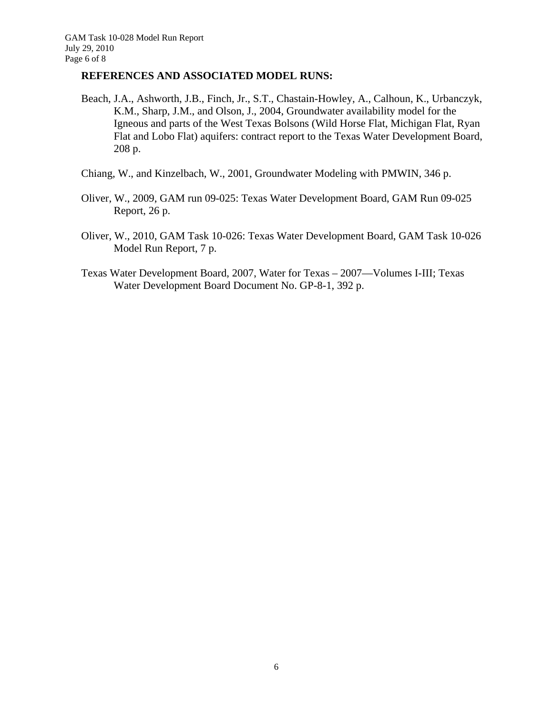#### **REFERENCES AND ASSOCIATED MODEL RUNS:**

- Beach, J.A., Ashworth, J.B., Finch, Jr., S.T., Chastain-Howley, A., Calhoun, K., Urbanczyk, K.M., Sharp, J.M., and Olson, J., 2004, Groundwater availability model for the Igneous and parts of the West Texas Bolsons (Wild Horse Flat, Michigan Flat, Ryan Flat and Lobo Flat) aquifers: contract report to the Texas Water Development Board, 208 p.
- Chiang, W., and Kinzelbach, W., 2001, Groundwater Modeling with PMWIN, 346 p.
- Oliver, W., 2009, GAM run 09-025: Texas Water Development Board, GAM Run 09-025 Report, 26 p.
- Oliver, W., 2010, GAM Task 10-026: Texas Water Development Board, GAM Task 10-026 Model Run Report, 7 p.
- Texas Water Development Board, 2007, Water for Texas 2007—Volumes I-III; Texas Water Development Board Document No. GP-8-1, 392 p.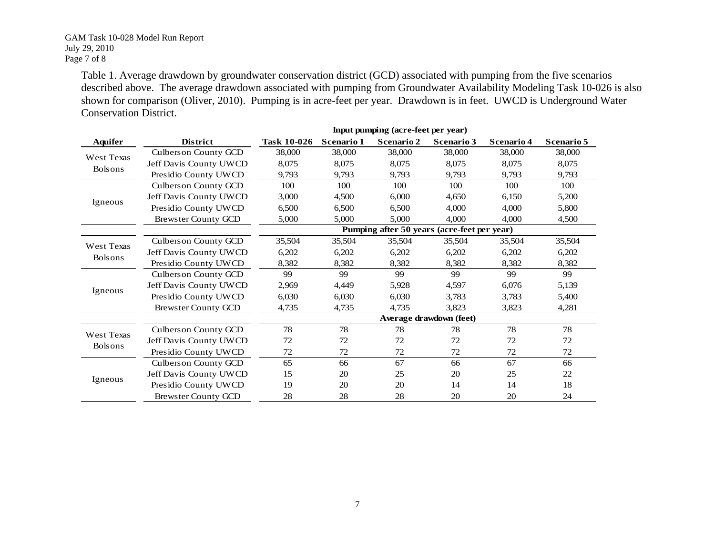#### GAM Task 10-028 Model Run Report July 29, 2010 Page 7 of 8

Table 1. Average drawdown by groundwater conservation district (GCD) associated with pumping from the five scenarios described above. The average drawdown associated with pumping from Groundwater Availability Modeling Task 10-026 is also shown for comparison (Oliver, 2010). Pumping is in acre-feet per year. Drawdown is in feet. UWCD is Underground Water Conservation District.

|                              |                            | Input pumping (acre-feet per year)          |            |            |            |                   |                   |
|------------------------------|----------------------------|---------------------------------------------|------------|------------|------------|-------------------|-------------------|
| <b>Aquifer</b>               | <b>District</b>            | Task 10-026                                 | Scenario 1 | Scenario 2 | Scenario 3 | <b>Scenario 4</b> | <b>Scenario 5</b> |
| West Texas<br><b>Bolsons</b> | Culberson County GCD       | 38,000                                      | 38,000     | 38,000     | 38,000     | 38,000            | 38,000            |
|                              | Jeff Davis County UWCD     | 8,075                                       | 8,075      | 8,075      | 8,075      | 8,075             | 8,075             |
|                              | Presidio County UWCD       | 9,793                                       | 9,793      | 9,793      | 9,793      | 9,793             | 9,793             |
| Igneous                      | Culberson County GCD       | 100                                         | 100        | 100        | 100        | 100               | 100               |
|                              | Jeff Davis County UWCD     | 3,000                                       | 4,500      | 6,000      | 4,650      | 6,150             | 5,200             |
|                              | Presidio County UWCD       | 6,500                                       | 6,500      | 6,500      | 4,000      | 4,000             | 5,800             |
|                              | <b>Brewster County GCD</b> | 5,000                                       | 5,000      | 5,000      | 4,000      | 4,000             | 4,500             |
|                              |                            | Pumping after 50 years (acre-feet per year) |            |            |            |                   |                   |
| West Texas<br>Bolsons        | Culberson County GCD       | 35,504                                      | 35,504     | 35,504     | 35,504     | 35,504            | 35,504            |
|                              | Jeff Davis County UWCD     | 6,202                                       | 6,202      | 6,202      | 6,202      | 6,202             | 6,202             |
|                              | Presidio County UWCD       | 8,382                                       | 8,382      | 8,382      | 8,382      | 8,382             | 8,382             |
| Igneous                      | Culberson County GCD       | 99                                          | 99         | 99         | 99         | 99                | 99                |
|                              | Jeff Davis County UWCD     | 2,969                                       | 4,449      | 5,928      | 4,597      | 6,076             | 5,139             |
|                              | Presidio County UWCD       | 6,030                                       | 6,030      | 6,030      | 3,783      | 3,783             | 5,400             |
|                              | <b>Brewster County GCD</b> | 4,735                                       | 4,735      | 4,735      | 3,823      | 3,823             | 4,281             |
|                              |                            | Average drawdown (feet)                     |            |            |            |                   |                   |
| West Texas<br>Bolsons        | Culberson County GCD       | 78                                          | 78         | 78         | 78         | 78                | 78                |
|                              | Jeff Davis County UWCD     | 72                                          | 72         | 72         | 72         | 72                | 72                |
|                              | Presidio County UWCD       | 72                                          | 72         | 72         | 72         | 72                | 72                |
| Igneous                      | Culberson County GCD       | 65                                          | 66         | 67         | 66         | 67                | 66                |
|                              | Jeff Davis County UWCD     | 15                                          | 20         | 25         | 20         | 25                | 22                |
|                              | Presidio County UWCD       | 19                                          | 20         | 20         | 14         | 14                | 18                |
|                              | <b>Brewster County GCD</b> | 28                                          | 28         | 28         | 20         | 20                | 24                |